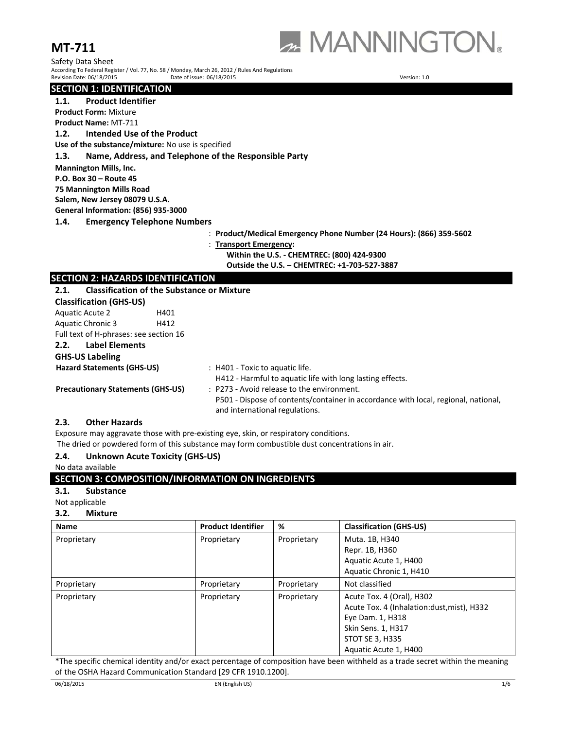

Safety Data Sheet According To Federal Register / Vol. 77, No. 58 / Monday, March 26, 2012 / Rules And Regulations Revision Date: 06/18/2015 Date of issue: 06/18/2015 Version: 1.0

# **SECTION 1: IDENTIFICATION**

**1.1. Product Identifier**

**Product Form:** Mixture

**Product Name:** MT‐711

**1.2. Intended Use of the Product**

**Use of the substance/mixture:** No use is specified

**1.3. Name, Address, and Telephone of the Responsible Party**

**Mannington Mills, Inc.**

**P.O. Box 30 – Route 45**

**75 Mannington Mills Road**

**Salem, New Jersey 08079 U.S.A.**

**General Information: (856) 935‐3000**

**1.4. Emergency Telephone Numbers**

: **Product/Medical Emergency Phone Number (24 Hours): (866) 359‐5602**

: **Transport Emergency:**

**Within the U.S. ‐ CHEMTREC: (800) 424‐9300 Outside the U.S. – CHEMTREC: +1‐703‐527‐3887**

# **SECTION 2: HAZARDS IDENTIFICATION**

| 2.1. |                                          | <b>Classification of the Substance or Mixture</b>                                  |
|------|------------------------------------------|------------------------------------------------------------------------------------|
|      | <b>Classification (GHS-US)</b>           |                                                                                    |
|      | Aquatic Acute 2                          | H401                                                                               |
|      | Aquatic Chronic 3                        | H412                                                                               |
|      | Full text of H-phrases: see section 16   |                                                                                    |
| 2.2. | Label Elements                           |                                                                                    |
|      | <b>GHS-US Labeling</b>                   |                                                                                    |
|      | <b>Hazard Statements (GHS-US)</b>        | : H401 - Toxic to aguatic life.                                                    |
|      |                                          | H412 - Harmful to aquatic life with long lasting effects.                          |
|      | <b>Precautionary Statements (GHS-US)</b> | : P273 - Avoid release to the environment.                                         |
|      |                                          | P501 - Dispose of contents/container in accordance with local, regional, national, |
|      |                                          | and international regulations.                                                     |

# **2.3. Other Hazards**

Exposure may aggravate those with pre‐existing eye, skin, or respiratory conditions. The dried or powdered form of this substance may form combustible dust concentrations in air.

# **2.4. Unknown Acute Toxicity (GHS‐US)**

No data available

# **SECTION 3: COMPOSITION/INFORMATION ON INGREDIENTS**

# **3.1. Substance**

Not applicable

# **3.2. Mixture**

| <b>Name</b> | <b>Product Identifier</b> | %           | <b>Classification (GHS-US)</b>             |
|-------------|---------------------------|-------------|--------------------------------------------|
| Proprietary | Proprietary               | Proprietary | Muta. 1B, H340                             |
|             |                           |             | Repr. 1B, H360                             |
|             |                           |             | Aquatic Acute 1, H400                      |
|             |                           |             | Aquatic Chronic 1, H410                    |
| Proprietary | Proprietary               | Proprietary | Not classified                             |
| Proprietary | Proprietary               | Proprietary | Acute Tox. 4 (Oral), H302                  |
|             |                           |             | Acute Tox. 4 (Inhalation:dust, mist), H332 |
|             |                           |             | Eye Dam. 1, H318                           |
|             |                           |             | <b>Skin Sens. 1, H317</b>                  |
|             |                           |             | STOT SE 3, H335                            |
|             |                           |             | Aquatic Acute 1, H400                      |

\*The specific chemical identity and/or exact percentage of composition have been withheld as a trade secret within the meaning of the OSHA Hazard Communication Standard [29 CFR 1910.1200].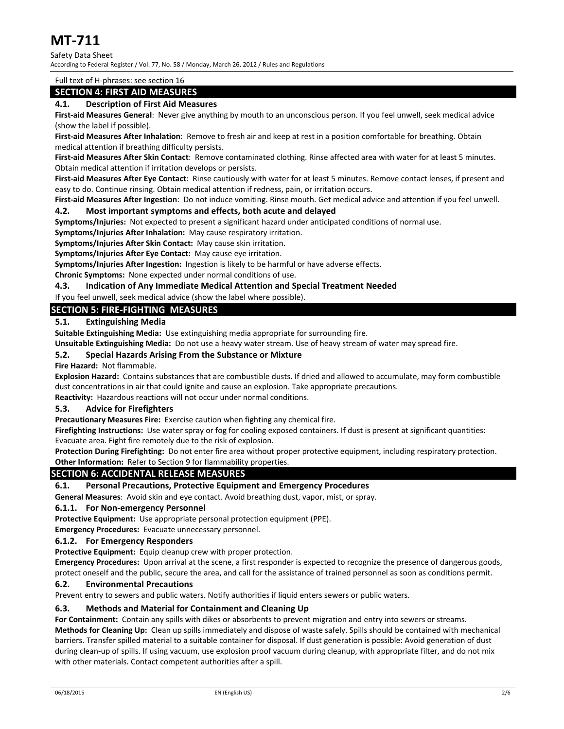Safety Data Sheet

According to Federal Register / Vol. 77, No. 58 / Monday, March 26, 2012 / Rules and Regulations

#### Full text of H‐phrases: see section 16

# **SECTION 4: FIRST AID MEASURES**

#### **4.1. Description of First Aid Measures**

**First‐aid Measures General**: Never give anything by mouth to an unconscious person. If you feel unwell, seek medical advice (show the label if possible).

**First‐aid Measures After Inhalation**: Remove to fresh air and keep at rest in a position comfortable for breathing. Obtain medical attention if breathing difficulty persists.

**First‐aid Measures After Skin Contact**: Remove contaminated clothing. Rinse affected area with water for at least 5 minutes. Obtain medical attention if irritation develops or persists.

**First‐aid Measures After Eye Contact**: Rinse cautiously with water for at least 5 minutes. Remove contact lenses, if present and easy to do. Continue rinsing. Obtain medical attention if redness, pain, or irritation occurs.

**First‐aid Measures After Ingestion**: Do not induce vomiting. Rinse mouth. Get medical advice and attention if you feel unwell.

#### **4.2. Most important symptoms and effects, both acute and delayed**

**Symptoms/Injuries:** Not expected to present a significant hazard under anticipated conditions of normal use.

**Symptoms/Injuries After Inhalation:** May cause respiratory irritation.

**Symptoms/Injuries After Skin Contact:** May cause skin irritation.

**Symptoms/Injuries After Eye Contact:** May cause eye irritation.

**Symptoms/Injuries After Ingestion:** Ingestion is likely to be harmful or have adverse effects.

**Chronic Symptoms:** None expected under normal conditions of use.

#### **4.3. Indication of Any Immediate Medical Attention and Special Treatment Needed**

If you feel unwell, seek medical advice (show the label where possible).

# **SECTION 5: FIRE‐FIGHTING MEASURES**

## **5.1. Extinguishing Media**

**Suitable Extinguishing Media:** Use extinguishing media appropriate for surrounding fire.

**Unsuitable Extinguishing Media:** Do not use a heavy water stream. Use of heavy stream of water may spread fire.

#### **5.2. Special Hazards Arising From the Substance or Mixture**

**Fire Hazard: Not flammable.** 

**Explosion Hazard:** Contains substances that are combustible dusts. If dried and allowed to accumulate, may form combustible dust concentrations in air that could ignite and cause an explosion. Take appropriate precautions.

**Reactivity:** Hazardous reactions will not occur under normal conditions.

#### **5.3. Advice for Firefighters**

**Precautionary Measures Fire:** Exercise caution when fighting any chemical fire.

**Firefighting Instructions:** Use water spray or fog for cooling exposed containers. If dust is present at significant quantities: Evacuate area. Fight fire remotely due to the risk of explosion.

**Protection During Firefighting:** Do not enter fire area without proper protective equipment, including respiratory protection. **Other Information:** Refer to Section 9 for flammability properties.

# **SECTION 6: ACCIDENTAL RELEASE MEASURES**

#### **6.1. Personal Precautions, Protective Equipment and Emergency Procedures**

**General Measures**: Avoid skin and eye contact. Avoid breathing dust, vapor, mist, or spray.

#### **6.1.1. For Non‐emergency Personnel**

**Protective Equipment:** Use appropriate personal protection equipment (PPE).

**Emergency Procedures:** Evacuate unnecessary personnel.

#### **6.1.2. For Emergency Responders**

**Protective Equipment:** Equip cleanup crew with proper protection.

**Emergency Procedures:** Upon arrival at the scene, a first responder is expected to recognize the presence of dangerous goods, protect oneself and the public, secure the area, and call for the assistance of trained personnel as soon as conditions permit.

#### **6.2. Environmental Precautions**

Prevent entry to sewers and public waters. Notify authorities if liquid enters sewers or public waters.

#### **6.3. Methods and Material for Containment and Cleaning Up**

**For Containment:** Contain any spills with dikes or absorbents to prevent migration and entry into sewers or streams. **Methods for Cleaning Up:** Clean up spills immediately and dispose of waste safely. Spills should be contained with mechanical barriers. Transfer spilled material to a suitable container for disposal. If dust generation is possible: Avoid generation of dust during clean‐up of spills. If using vacuum, use explosion proof vacuum during cleanup, with appropriate filter, and do not mix with other materials. Contact competent authorities after a spill.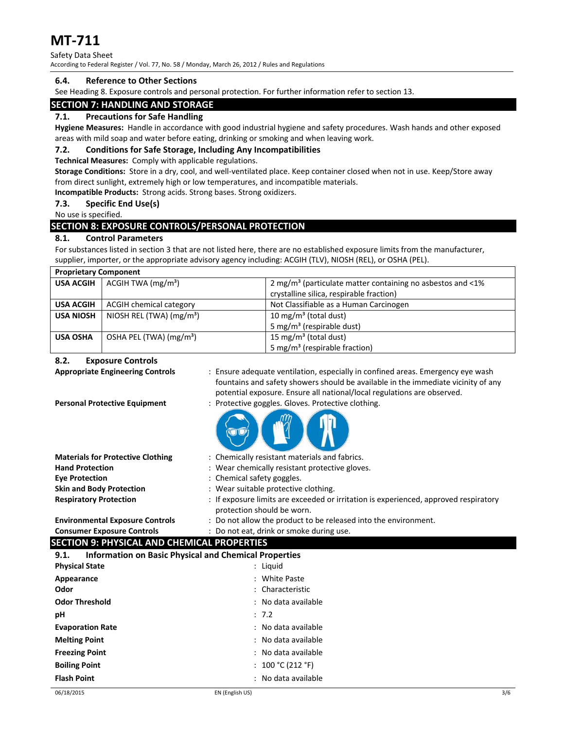Safety Data Sheet

According to Federal Register / Vol. 77, No. 58 / Monday, March 26, 2012 / Rules and Regulations

#### **6.4. Reference to Other Sections**

See Heading 8. Exposure controls and personal protection. For further information refer to section 13.

# **SECTION 7: HANDLING AND STORAGE**

#### **7.1. Precautions for Safe Handling**

**Hygiene Measures:** Handle in accordance with good industrial hygiene and safety procedures. Wash hands and other exposed areas with mild soap and water before eating, drinking or smoking and when leaving work.

## **7.2. Conditions for Safe Storage, Including Any Incompatibilities**

**Technical Measures:** Comply with applicable regulations.

**Storage Conditions:** Store in a dry, cool, and well‐ventilated place. Keep container closed when not in use. Keep/Store away from direct sunlight, extremely high or low temperatures, and incompatible materials.

**Incompatible Products:** Strong acids. Strong bases. Strong oxidizers.

#### **7.3. Specific End Use(s)**

No use is specified.

# **SECTION 8: EXPOSURE CONTROLS/PERSONAL PROTECTION**

## **8.1. Control Parameters**

For substances listed in section 3 that are not listed here, there are no established exposure limits from the manufacturer, supplier, importer, or the appropriate advisory agency including: ACGIH (TLV), NIOSH (REL), or OSHA (PEL).

| <b>Proprietary Component</b> |                                     |                                                                               |
|------------------------------|-------------------------------------|-------------------------------------------------------------------------------|
| <b>USA ACGIH</b>             | ACGIH TWA (mg/m <sup>3</sup> )      | 2 mg/m <sup>3</sup> (particulate matter containing no asbestos and $\leq 1\%$ |
|                              |                                     | crystalline silica, respirable fraction)                                      |
| <b>USA ACGIH</b>             | <b>ACGIH chemical category</b>      | Not Classifiable as a Human Carcinogen                                        |
| <b>USA NIOSH</b>             | NIOSH REL (TWA) $(mg/m3)$           | 10 mg/m <sup>3</sup> (total dust)                                             |
|                              |                                     | 5 mg/m <sup>3</sup> (respirable dust)                                         |
| <b>USA OSHA</b>              | OSHA PEL (TWA) (mg/m <sup>3</sup> ) | 15 mg/m <sup>3</sup> (total dust)                                             |
|                              |                                     | 5 mg/m <sup>3</sup> (respirable fraction)                                     |

#### **8.2. Exposure Controls**

**Appropriate Engineering Controls** : Ensure adequate ventilation, especially in confined areas. Emergency eye wash fountains and safety showers should be available in the immediate vicinity of any potential exposure. Ensure all national/local regulations are observed. **Personal Protective Equipment** : Protective goggles. Gloves. Protective clothing.

| <br>ັບ - ບບ<br>. . |  |
|--------------------|--|
|                    |  |
|                    |  |
|                    |  |
|                    |  |

| <b>Materials for Protective Clothing</b> | : Chemically resistant materials and fabrics.                                        |
|------------------------------------------|--------------------------------------------------------------------------------------|
| <b>Hand Protection</b>                   | : Wear chemically resistant protective gloves.                                       |
| <b>Eye Protection</b>                    | : Chemical safety goggles.                                                           |
| <b>Skin and Body Protection</b>          | : Wear suitable protective clothing.                                                 |
| <b>Respiratory Protection</b>            | : If exposure limits are exceeded or irritation is experienced, approved respiratory |
|                                          | protection should be worn.                                                           |
| <b>Environmental Exposure Controls</b>   | : Do not allow the product to be released into the environment.                      |

**Consumer Exposure Controls** : Do not eat, drink or smoke during use.

# **SECTION 9: PHYSICAL AND CHEMICAL PROPERTIES**

| <b>Information on Basic Physical and Chemical Properties</b><br>9.1. |                     |  |
|----------------------------------------------------------------------|---------------------|--|
| <b>Physical State</b>                                                | : Liquid            |  |
| Appearance                                                           | : White Paste       |  |
| Odor                                                                 | : Characteristic    |  |
| <b>Odor Threshold</b>                                                | : No data available |  |
| рH                                                                   | : 7.2               |  |
| <b>Evaporation Rate</b>                                              | : No data available |  |
| <b>Melting Point</b>                                                 | : No data available |  |
| <b>Freezing Point</b>                                                | : No data available |  |
| <b>Boiling Point</b>                                                 | : $100 °C (212 °F)$ |  |
| <b>Flash Point</b>                                                   | : No data available |  |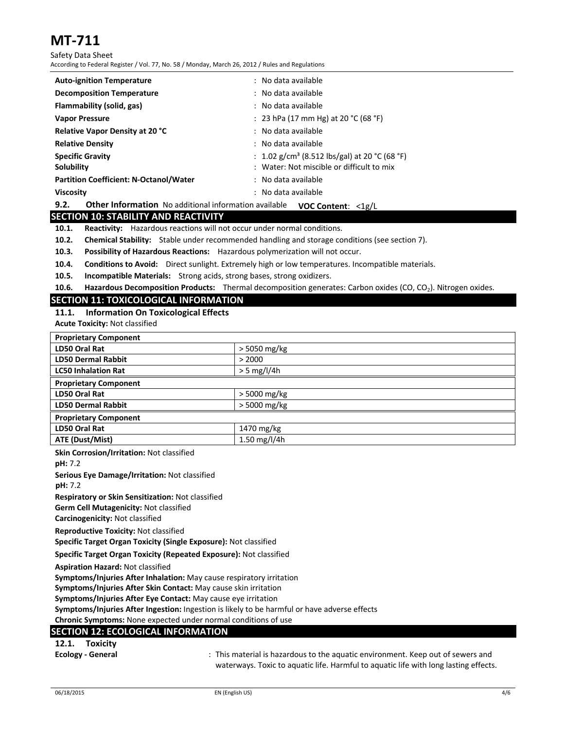Safety Data Sheet According to Federal Register / Vol. 77, No. 58 / Monday, March 26, 2012 / Rules and Regulations

| <b>Auto-ignition Temperature</b>                                                                     | : No data available                                       |  |
|------------------------------------------------------------------------------------------------------|-----------------------------------------------------------|--|
| <b>Decomposition Temperature</b>                                                                     | : No data available                                       |  |
| Flammability (solid, gas)                                                                            | : No data available                                       |  |
| <b>Vapor Pressure</b>                                                                                | : 23 hPa (17 mm Hg) at 20 °C (68 °F)                      |  |
| <b>Relative Vapor Density at 20 °C</b>                                                               | : No data available                                       |  |
| <b>Relative Density</b>                                                                              | : No data available                                       |  |
| <b>Specific Gravity</b>                                                                              | : 1.02 g/cm <sup>3</sup> (8.512 lbs/gal) at 20 °C (68 °F) |  |
| Solubility                                                                                           | : Water: Not miscible or difficult to mix                 |  |
| <b>Partition Coefficient: N-Octanol/Water</b>                                                        | : No data available                                       |  |
| <b>Viscosity</b>                                                                                     | : No data available                                       |  |
| 9.2.<br><b>Other Information</b> No additional information available<br><b>VOC Content: &lt;1g/L</b> |                                                           |  |

# **SECTION 10: STABILITY AND REACTIVITY**

**10.1. Reactivity:** Hazardous reactions will not occur under normal conditions.

**10.2. Chemical Stability:** Stable under recommended handling and storage conditions (see section 7).

**10.3. Possibility of Hazardous Reactions:** Hazardous polymerization will not occur.

- **10.4. Conditions to Avoid:** Direct sunlight. Extremely high or low temperatures. Incompatible materials.
- **10.5. Incompatible Materials:** Strong acids, strong bases, strong oxidizers.
- **10.6. Hazardous Decomposition Products:** Thermal decomposition generates: Carbon oxides (CO, CO2). Nitrogen oxides.

# **SECTION 11: TOXICOLOGICAL INFORMATION**

# **11.1. Information On Toxicological Effects**

**Acute Toxicity:** Not classified

| <b>Proprietary Component</b> |                |  |
|------------------------------|----------------|--|
| LD50 Oral Rat                | $>$ 5050 mg/kg |  |
| <b>LD50 Dermal Rabbit</b>    | > 2000         |  |
| <b>LC50 Inhalation Rat</b>   | $> 5$ mg/l/4h  |  |
| <b>Proprietary Component</b> |                |  |
| LD50 Oral Rat                | $>$ 5000 mg/kg |  |
| <b>LD50 Dermal Rabbit</b>    | > 5000 mg/kg   |  |
| <b>Proprietary Component</b> |                |  |
| LD50 Oral Rat                | 1470 mg/kg     |  |
| ATE (Dust/Mist)              | 1.50 mg/l/4h   |  |

**Skin Corrosion/Irritation:** Not classified

**pH:** 7.2

**Serious Eye Damage/Irritation:** Not classified

**pH:** 7.2

**Respiratory or Skin Sensitization:** Not classified

**Germ Cell Mutagenicity:** Not classified

**Carcinogenicity:** Not classified

**Reproductive Toxicity:** Not classified

**Specific Target Organ Toxicity (Single Exposure):** Not classified

**Specific Target Organ Toxicity (Repeated Exposure):** Not classified

**Aspiration Hazard:** Not classified

**Symptoms/Injuries After Inhalation:** May cause respiratory irritation

**Symptoms/Injuries After Skin Contact:** May cause skin irritation

**Symptoms/Injuries After Eye Contact:** May cause eye irritation

**Symptoms/Injuries After Ingestion:** Ingestion is likely to be harmful or have adverse effects

**Chronic Symptoms:** None expected under normal conditions of use

## **SECTION 12: ECOLOGICAL INFORMATION**

**12.1. Toxicity**

**Ecology** - **General exists of the set of series is the act is hazardous to the aquatic environment. Keep out of sewers and** waterways. Toxic to aquatic life. Harmful to aquatic life with long lasting effects.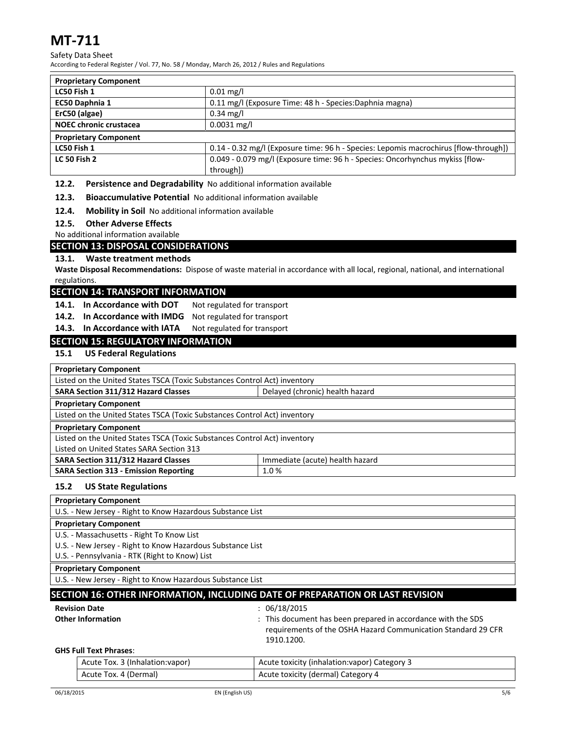# Safety Data Sheet

According to Federal Register / Vol. 77, No. 58 / Monday, March 26, 2012 / Rules and Regulations

| <b>Proprietary Component</b>  |                                                                                      |  |
|-------------------------------|--------------------------------------------------------------------------------------|--|
| LC50 Fish 1                   | $0.01 \,\mathrm{mg/l}$                                                               |  |
| EC50 Daphnia 1                | 0.11 mg/l (Exposure Time: 48 h - Species: Daphnia magna)                             |  |
| ErC50 (algae)                 | $0.34 \text{ mg/l}$                                                                  |  |
| <b>NOEC chronic crustacea</b> | $0.0031$ mg/l                                                                        |  |
| <b>Proprietary Component</b>  |                                                                                      |  |
| LC50 Fish 1                   | 0.14 - 0.32 mg/l (Exposure time: 96 h - Species: Lepomis macrochirus [flow-through]) |  |
| <b>LC 50 Fish 2</b>           | 0.049 - 0.079 mg/l (Exposure time: 96 h - Species: Oncorhynchus mykiss [flow-        |  |
|                               | through])                                                                            |  |

**12.2. Persistence and Degradability** No additional information available

**12.3. Bioaccumulative Potential** No additional information available

**12.4. Mobility in Soil** No additional information available

## **12.5. Other Adverse Effects**

No additional information available

# **SECTION 13: DISPOSAL CONSIDERATIONS**

## **13.1. Waste treatment methods**

**Waste Disposal Recommendations:** Dispose of waste material in accordance with all local, regional, national, and international regulations.

## **SECTION 14: TRANSPORT INFORMATION**

- **14.1. In Accordance with DOT** Not regulated for transport
- **14.2. In Accordance with IMDG** Not regulated for transport
- **14.3. In Accordance with IATA** Not regulated for transport

# **SECTION 15: REGULATORY INFORMATION**

# **15.1 US Federal Regulations**

| <b>Proprietary Component</b>                             |
|----------------------------------------------------------|
| Llisted on the United States TSCA (Toxic Substances Cont |

| Listed on the United States TSCA (Toxic Substances Control Act) inventory     |                                 |  |
|-------------------------------------------------------------------------------|---------------------------------|--|
| <b>SARA Section 311/312 Hazard Classes</b>                                    | Delayed (chronic) health hazard |  |
| <b>Proprietary Component</b>                                                  |                                 |  |
| Listed on the United States TSCA (Toxic Substances Control Act) inventory     |                                 |  |
| <b>Proprietary Component</b>                                                  |                                 |  |
| Listed on the United States TSCA (Toxic Substances Control Act) inventory     |                                 |  |
| Listed on United States SARA Section 313                                      |                                 |  |
| <b>SARA Section 311/312 Hazard Classes</b><br>Immediate (acute) health hazard |                                 |  |
| <b>SARA Section 313 - Emission Reporting</b>                                  | 1.0%                            |  |

#### **15.2 US State Regulations**

| <b>Proprietary Component</b>                                                  |  |  |
|-------------------------------------------------------------------------------|--|--|
| U.S. - New Jersey - Right to Know Hazardous Substance List                    |  |  |
| <b>Proprietary Component</b>                                                  |  |  |
| U.S. - Massachusetts - Right To Know List                                     |  |  |
| U.S. - New Jersey - Right to Know Hazardous Substance List                    |  |  |
| U.S. - Pennsylvania - RTK (Right to Know) List                                |  |  |
| <b>Proprietary Component</b>                                                  |  |  |
| U.S. - New Jersey - Right to Know Hazardous Substance List                    |  |  |
| SECTION 16: OTHER INFORMATION, INCLUDING DATE OF PREPARATION OR LAST REVISION |  |  |
| <b>Revision Date</b><br>06/18/2015                                            |  |  |

**Other Information** : This document has been prepared in accordance with the SDS requirements of the OSHA Hazard Communication Standard 29 CFR 1910.1200.

#### **GHS Full Text Phrases**:

| Acute Tox. 3 (Inhalation: vapor) | Acute toxicity (inhalation: vapor) Category 3 |
|----------------------------------|-----------------------------------------------|
| Acute Tox. 4 (Dermal)            | Acute toxicity (dermal) Category 4            |